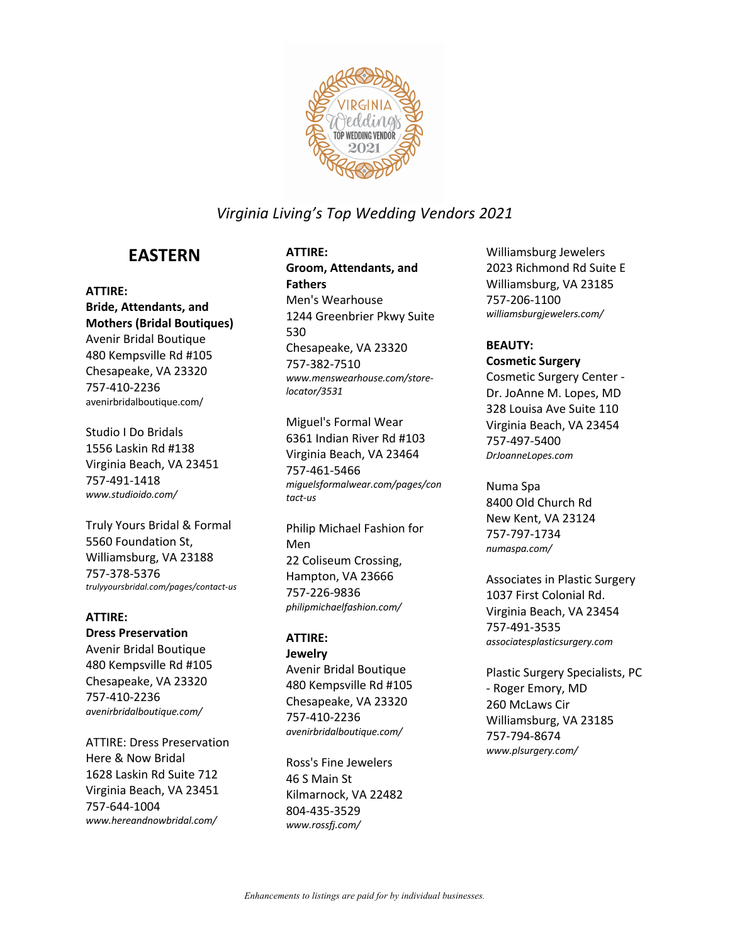

# **EASTERN**

#### **ATTIRE:**

**Bride, Attendants, and Mothers (Bridal Boutiques)** Avenir Bridal Boutique 480 Kempsville Rd #105 Chesapeake, VA 23320 757-410-2236 avenirbridalboutique.com/

Studio I Do Bridals 1556 Laskin Rd #138 Virginia Beach, VA 23451 757-491-1418 *www.studioido.com/*

Truly Yours Bridal & Formal 5560 Foundation St, Williamsburg, VA 23188 757-378-5376 *trulyyoursbridal.com/pages/contact-us*

### **ATTIRE:**

**Dress Preservation** Avenir Bridal Boutique 480 Kempsville Rd #105 Chesapeake, VA 23320 757-410-2236 *avenirbridalboutique.com/*

ATTIRE: Dress Preservation Here & Now Bridal 1628 Laskin Rd Suite 712 Virginia Beach, VA 23451 757-644-1004 *www.hereandnowbridal.com/*

## **ATTIRE:**

**Groom, Attendants, and Fathers** Men's Wearhouse 1244 Greenbrier Pkwy Suite 530 Chesapeake, VA 23320 757-382-7510 *www.menswearhouse.com/storelocator/3531*

Miguel's Formal Wear 6361 Indian River Rd #103 Virginia Beach, VA 23464 757-461-5466 *miguelsformalwear.com/pages/con tact-us*

Philip Michael Fashion for Men 22 Coliseum Crossing, Hampton, VA 23666 757-226-9836 *philipmichaelfashion.com/*

### **ATTIRE:**

**Jewelry** Avenir Bridal Boutique 480 Kempsville Rd #105 Chesapeake, VA 23320 757-410-2236 *avenirbridalboutique.com/*

Ross's Fine Jewelers 46 S Main St Kilmarnock, VA 22482 804-435-3529 *www.rossfj.com/*

Williamsburg Jewelers 2023 Richmond Rd Suite E Williamsburg, VA 23185 757-206-1100 *williamsburgjewelers.com/*

### **BEAUTY: Cosmetic Surgery**

Cosmetic Surgery Center - Dr. JoAnne M. Lopes, MD 328 Louisa Ave Suite 110 Virginia Beach, VA 23454 757-497-5400 *DrJoanneLopes.com*

Numa Spa 8400 Old Church Rd New Kent, VA 23124 757-797-1734 *numaspa.com/*

Associates in Plastic Surgery 1037 First Colonial Rd. Virginia Beach, VA 23454 757-491-3535 *associatesplasticsurgery.com*

Plastic Surgery Specialists, PC - Roger Emory, MD 260 McLaws Cir Williamsburg, VA 23185 757-794-8674 *www.plsurgery.com/*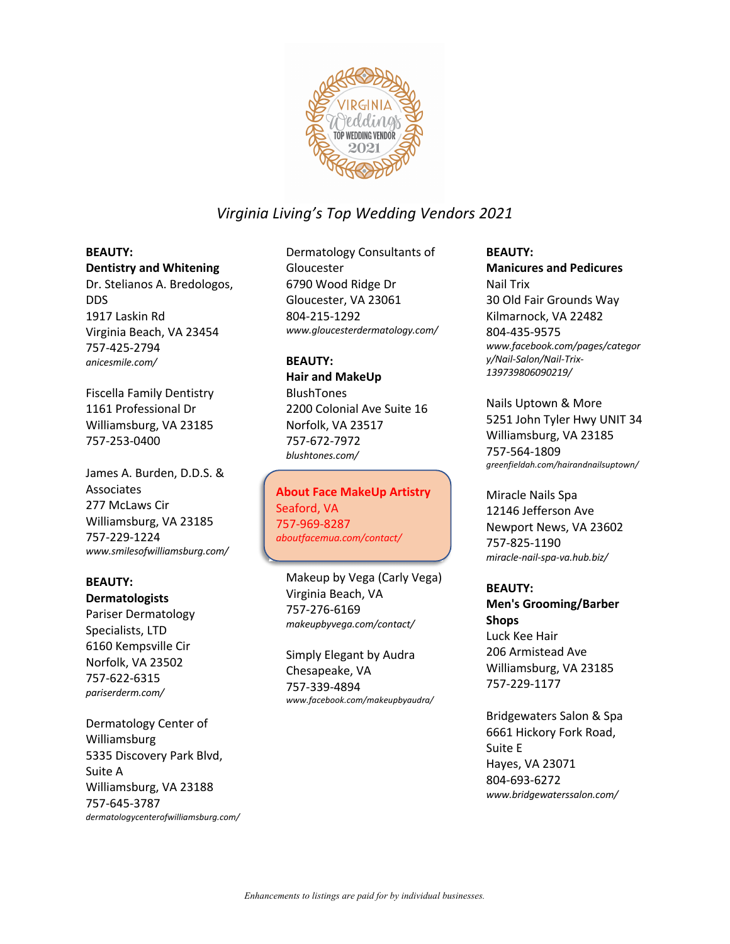

## **BEAUTY:**

**Dentistry and Whitening** Dr. Stelianos A. Bredologos, DDS 1917 Laskin Rd Virginia Beach, VA 23454 757-425-2794 *anicesmile.com/*

Fiscella Family Dentistry 1161 Professional Dr Williamsburg, VA 23185 757-253-0400

James A. Burden, D.D.S. & Associates 277 McLaws Cir Williamsburg, VA 23185 757-229-1224 *www.smilesofwilliamsburg.com/*

#### **BEAUTY: Dermatologists**

Pariser Dermatology Specialists, LTD 6160 Kempsville Cir Norfolk, VA 23502 757-622-6315 *pariserderm.com/*

Dermatology Center of Williamsburg 5335 Discovery Park Blvd, Suite A Williamsburg, VA 23188 757-645-3787 *dermatologycenterofwilliamsburg.com/*

Dermatology Consultants of Gloucester 6790 Wood Ridge Dr Gloucester, VA 23061 804-215-1292 *www.gloucesterdermatology.com/*

### **BEAUTY:**

**Hair and MakeUp** BlushTones 2200 Colonial Ave Suite 16 Norfolk, VA 23517 757-672-7972 *blushtones.com/*

About Face MakeUp Artistry **About Face MakeUp Artistry** Seaford, VA Seaford, VA 757-969-8287 757-969-8287 *aboutfacemua.com/contact/ aboutfacemua.com/contact/*

Makeup by Vega (Carly Vega) Virginia Beach, VA 757-276-6169 *makeupbyvega.com/contact/*

Simply Elegant by Audra Chesapeake, VA 757-339-4894 *www.facebook.com/makeupbyaudra/*

### **BEAUTY: Manicures and Pedicures** Nail Trix 30 Old Fair Grounds Way Kilmarnock, VA 22482 804-435-9575 *www.facebook.com/pages/categor y/Nail-Salon/Nail-Trix-139739806090219/*

Nails Uptown & More 5251 John Tyler Hwy UNIT 34 Williamsburg, VA 23185 757-564-1809 *greenfieldah.com/hairandnailsuptown/*

Miracle Nails Spa 12146 Jefferson Ave Newport News, VA 23602 757-825-1190 *miracle-nail-spa-va.hub.biz/*

### **BEAUTY:**

**Men's Grooming/Barber Shops** Luck Kee Hair 206 Armistead Ave Williamsburg, VA 23185 757-229-1177

Bridgewaters Salon & Spa 6661 Hickory Fork Road, Suite E Hayes, VA 23071 804-693-6272 *www.bridgewaterssalon.com/*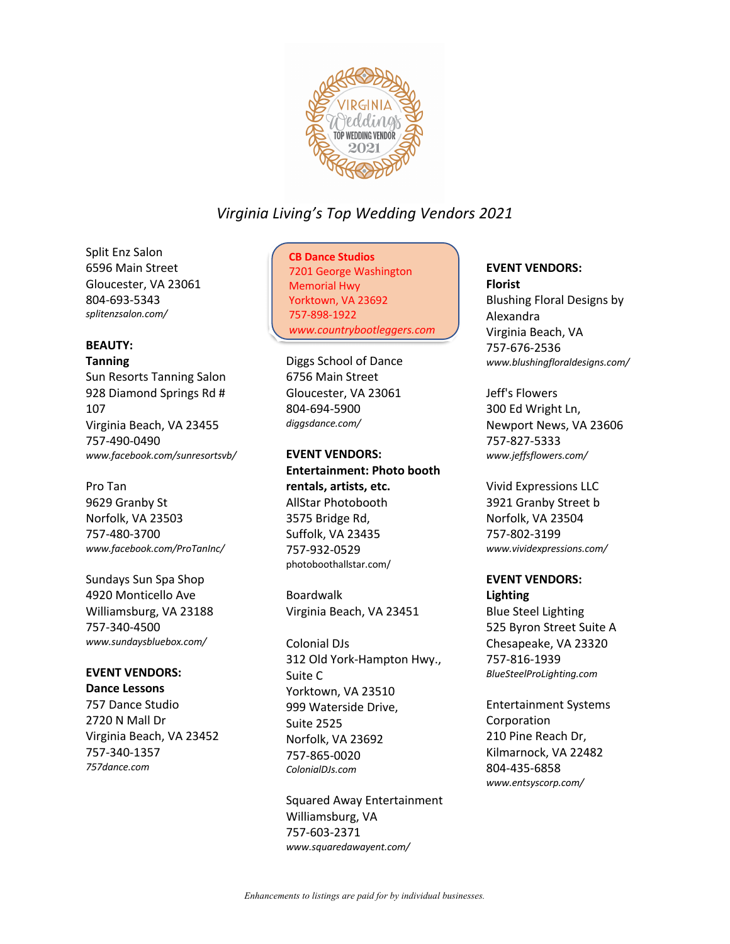

Split Enz Salon 6596 Main Street Gloucester, VA 23061 804-693-5343 *splitenzsalon.com/*

### **BEAUTY:**

#### **Tanning**

Sun Resorts Tanning Salon 928 Diamond Springs Rd # 107 Virginia Beach, VA 23455 757-490-0490 *www.facebook.com/sunresortsvb/*

### Pro Tan

9629 Granby St Norfolk, VA 23503 757-480-3700 *www.facebook.com/ProTanInc/*

Sundays Sun Spa Shop 4920 Monticello Ave Williamsburg, VA 23188 757-340-4500 *www.sundaysbluebox.com/*

### **EVENT VENDORS:**

**Dance Lessons** 757 Dance Studio 2720 N Mall Dr Virginia Beach, VA 23452 757-340-1357 *757dance.com*

# CB Dance Studios **CB Dance Studios**

7201 George Washington 7201 George Washington Memorial Hwy Memorial Hwy Yorktown, VA 23692 Yorktown, VA 23692 757-898-1922 757-898-1922 *www.countrybootleggers.com/ www.countrybootleggers.com*

Diggs School of Dance 6756 Main Street Gloucester, VA 23061 804-694-5900 *diggsdance.com/*

**EVENT VENDORS: Entertainment: Photo booth rentals, artists, etc.** AllStar Photobooth 3575 Bridge Rd, Suffolk, VA 23435 757-932-0529 photoboothallstar.com/

Boardwalk Virginia Beach, VA 23451

Colonial DJs 312 Old York-Hampton Hwy., Suite C Yorktown, VA 23510 999 Waterside Drive, Suite 2525 Norfolk, VA 23692 757-865-0020 *ColonialDJs.com*

Squared Away Entertainment Williamsburg, VA 757-603-2371 *www.squaredawayent.com/*

# **EVENT VENDORS:**

**Florist** Blushing Floral Designs by Alexandra Virginia Beach, VA 757-676-2536 *www.blushingfloraldesigns.com/*

Jeff's Flowers 300 Ed Wright Ln, Newport News, VA 23606 757-827-5333 *www.jeffsflowers.com/*

Vivid Expressions LLC 3921 Granby Street b Norfolk, VA 23504 757-802-3199 *www.vividexpressions.com/*

## **EVENT VENDORS:**

**Lighting**

Blue Steel Lighting 525 Byron Street Suite A Chesapeake, VA 23320 757-816-1939 *BlueSteelProLighting.com*

Entertainment Systems Corporation 210 Pine Reach Dr, Kilmarnock, VA 22482 804-435-6858 *www.entsyscorp.com/*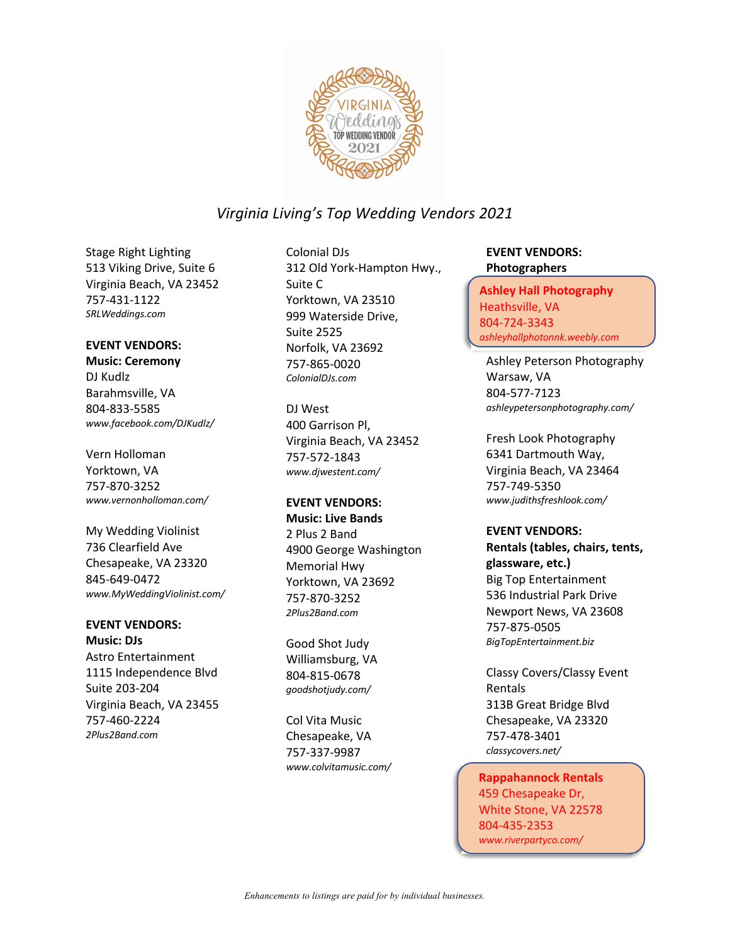

Stage Right Lighting 513 Viking Drive, Suite 6 Virginia Beach, VA 23452 757-431-1122 *SRLWeddings.com*

#### **EVENT VENDORS:**

**Music: Ceremony** DJ Kudlz Barahmsville, VA 804-833-5585 *www.facebook.com/DJKudlz/*

Vern Holloman Yorktown, VA 757-870-3252 *www.vernonholloman.com/*

My Wedding Violinist 736 Clearfield Ave Chesapeake, VA 23320 845-649-0472 *www.MyWeddingViolinist.com/*

#### **EVENT VENDORS:**

**Music: DJs** Astro Entertainment 1115 Independence Blvd Suite 203-204 Virginia Beach, VA 23455 757-460-2224 *2Plus2Band.com*

Colonial DJs 312 Old York-Hampton Hwy., Suite C Yorktown, VA 23510 999 Waterside Drive, Suite 2525 Norfolk, VA 23692 757-865-0020 *ColonialDJs.com*

DJ West 400 Garrison Pl, Virginia Beach, VA 23452 757-572-1843 *www.djwestent.com/*

#### **EVENT VENDORS:**

**Music: Live Bands** 2 Plus 2 Band 4900 George Washington Memorial Hwy Yorktown, VA 23692 757-870-3252 *2Plus2Band.com*

Good Shot Judy Williamsburg, VA 804-815-0678 *goodshotjudy.com/*

Col Vita Music Chesapeake, VA 757-337-9987 *www.colvitamusic.com/*

#### **EVENT VENDORS: Photographers**

Ashley Hall Photography **Ashley Hall Photography** Heathsville, VA Heathsville, VA 804-724-3343 804-724-3343 *ashleyhallphotonnk.weebly.com/ ashleyhallphotonnk.weebly.com*

Ashley Peterson Photography Warsaw, VA 804-577-7123 *ashleypetersonphotography.com/*

Fresh Look Photography 6341 Dartmouth Way, Virginia Beach, VA 23464 757-749-5350 *www.judithsfreshlook.com/*

#### **EVENT VENDORS:**

**Rentals (tables, chairs, tents, glassware, etc.)** Big Top Entertainment 536 Industrial Park Drive Newport News, VA 23608 757-875-0505 *BigTopEntertainment.biz*

Classy Covers/Classy Event Rentals 313B Great Bridge Blvd Chesapeake, VA 23320 757-478-3401 *classycovers.net/*

Rappahannock Rentals **Rappahannock Rentals** 459 Chesapeake Dr, 459 Chesapeake Dr, White Stone, VA 22578 White Stone, VA 22578 804-435-2353 804-435-2353 *www.riverpartyco.com/ www.riverpartyco.com/*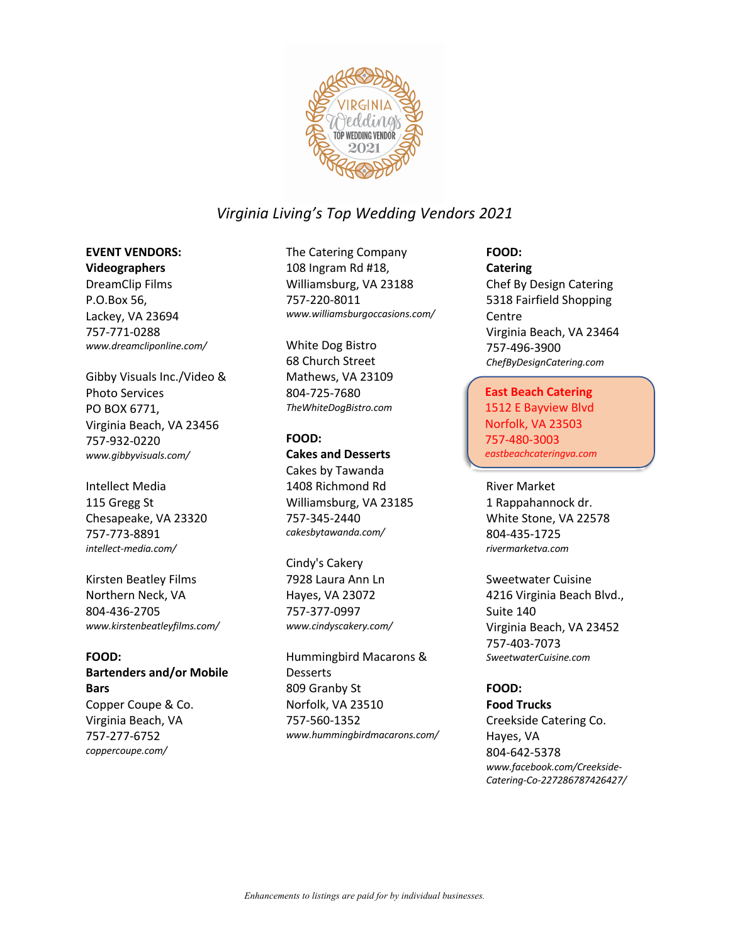

## **EVENT VENDORS:**

**Videographers** DreamClip Films P.O.Box 56, Lackey, VA 23694 757-771-0288 *www.dreamcliponline.com/*

Gibby Visuals Inc./Video & Photo Services PO BOX 6771, Virginia Beach, VA 23456 757-932-0220 *www.gibbyvisuals.com/*

Intellect Media 115 Gregg St Chesapeake, VA 23320 757-773-8891 *intellect-media.com/*

Kirsten Beatley Films Northern Neck, VA 804-436-2705 *www.kirstenbeatleyfilms.com/*

### **FOOD:**

**Bartenders and/or Mobile Bars** Copper Coupe & Co. Virginia Beach, VA 757-277-6752

*coppercoupe.com/*

The Catering Company 108 Ingram Rd #18, Williamsburg, VA 23188 757-220-8011 *www.williamsburgoccasions.com/*

White Dog Bistro 68 Church Street Mathews, VA 23109 804-725-7680 *TheWhiteDogBistro.com*

# **FOOD: Cakes and Desserts** Cakes by Tawanda 1408 Richmond Rd

Williamsburg, VA 23185 757-345-2440 *cakesbytawanda.com/*

### Cindy's Cakery 7928 Laura Ann Ln Hayes, VA 23072 757-377-0997 *www.cindyscakery.com/*

Hummingbird Macarons & Desserts 809 Granby St Norfolk, VA 23510 757-560-1352 *www.hummingbirdmacarons.com/*

## **FOOD: Catering** Chef By Design Catering 5318 Fairfield Shopping **Centre** Virginia Beach, VA 23464 757-496-3900 *ChefByDesignCatering.com*

## East Beach Catering **East Beach Catering**

1512 E Bayview Blvd 1512 E Bayview Blvd Norfolk, VA 23503 Norfolk, VA 23503 757-480-3003 757-480-3003 *eastbeachcateringva.com/ eastbeachcateringva.com*

#### River Market 1 Rappahannock dr. White Stone, VA 22578 804-435-1725 *rivermarketva.com*

Sweetwater Cuisine 4216 Virginia Beach Blvd., Suite 140 Virginia Beach, VA 23452 757-403-7073 *SweetwaterCuisine.com*

## **FOOD:**

**Food Trucks** Creekside Catering Co. Hayes, VA 804-642-5378 *www.facebook.com/Creekside-Catering-Co-227286787426427/*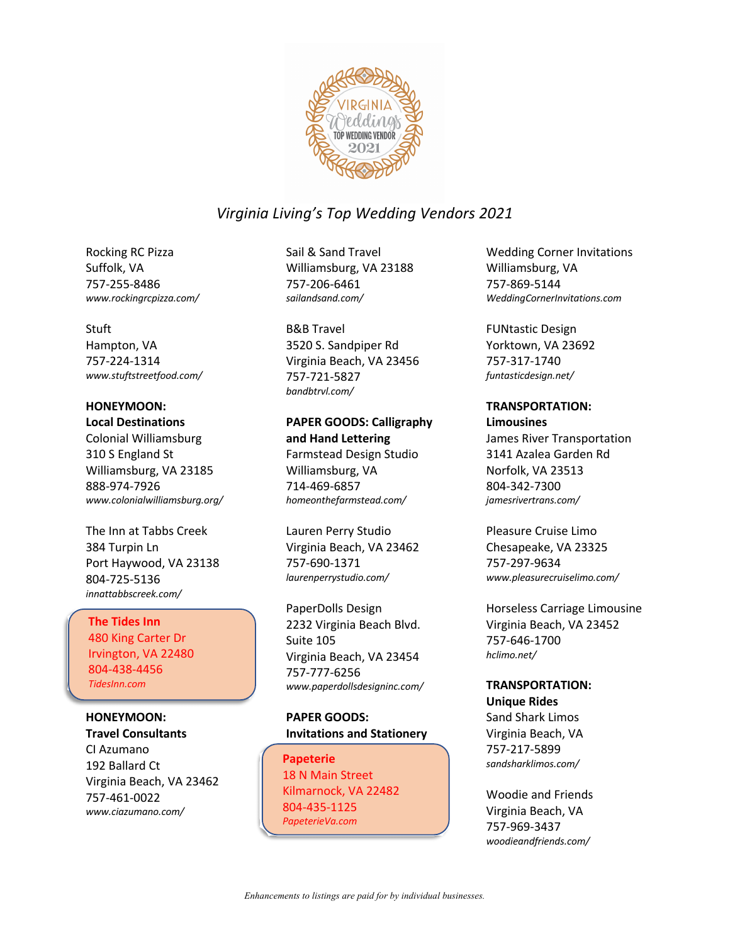

Rocking RC Pizza Suffolk, VA 757-255-8486 *www.rockingrcpizza.com/*

#### Stuft

Hampton, VA 757-224-1314 *www.stuftstreetfood.com/*

### **HONEYMOON:**

**Local Destinations**

Colonial Williamsburg 310 S England St Williamsburg, VA 23185 888-974-7926 *www.colonialwilliamsburg.org/*

The Inn at Tabbs Creek 384 Turpin Ln Port Haywood, VA 23138 804-725-5136 *innattabbscreek.com/*

## The Tides Inn **The Tides Inn**

480 King Carter Dr 480 King Carter Dr Irvington, VA 22480 Irvington, VA 22480 804-438-4456 804-438-4456 *TidesInn.com TidesInn.com*

**HONEYMOON: Travel Consultants** CI Azumano 192 Ballard Ct Virginia Beach, VA 23462 757-461-0022 *www.ciazumano.com/*

Sail & Sand Travel Williamsburg, VA 23188 757-206-6461 *sailandsand.com/*

B&B Travel 3520 S. Sandpiper Rd Virginia Beach, VA 23456 757-721-5827 *bandbtrvl.com/*

### **PAPER GOODS: Calligraphy and Hand Lettering** Farmstead Design Studio Williamsburg, VA

714-469-6857 *homeonthefarmstead.com/*

Lauren Perry Studio Virginia Beach, VA 23462 757-690-1371 *laurenperrystudio.com/*

PaperDolls Design 2232 Virginia Beach Blvd. Suite 105 Virginia Beach, VA 23454 757-777-6256 *www.paperdollsdesigninc.com/*

### **PAPER GOODS: Invitations and Stationery**

Papeterie Papeterie<br>48 N Main Street 18 N Main Street<br>Vil Kilmarnock, VA 22482 *PapeterieVa.com* 804-435-1125 *PapeterieVa.com*

Wedding Corner Invitations Williamsburg, VA 757-869-5144 *WeddingCornerInvitations.com*

FUNtastic Design Yorktown, VA 23692 757-317-1740 *funtasticdesign.net/*

#### **TRANSPORTATION:**

**Limousines** James River Transportation 3141 Azalea Garden Rd Norfolk, VA 23513 804-342-7300 *jamesrivertrans.com/*

Pleasure Cruise Limo Chesapeake, VA 23325 757-297-9634 *www.pleasurecruiselimo.com/*

Horseless Carriage Limousine Virginia Beach, VA 23452 757-646-1700 *hclimo.net/*

## **TRANSPORTATION:**

**Unique Rides** Sand Shark Limos Virginia Beach, VA 757-217-5899 *sandsharklimos.com/*

Woodie and Friends Virginia Beach, VA 757-969-3437 *woodieandfriends.com/*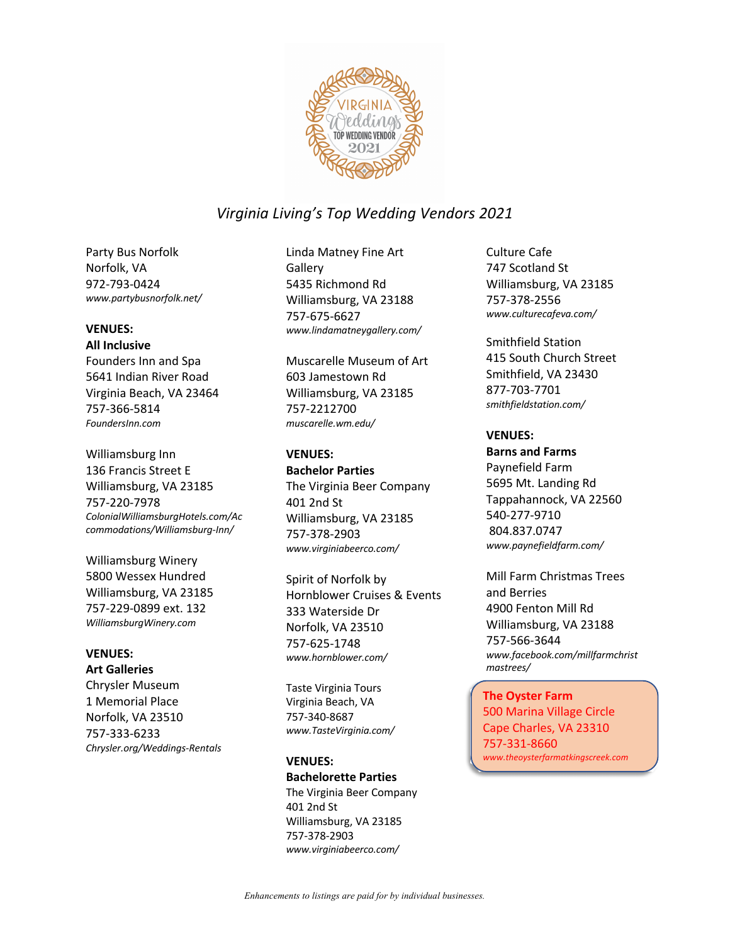

Party Bus Norfolk Norfolk, VA 972-793-0424 *www.partybusnorfolk.net/*

#### **VENUES:**

#### **All Inclusive**

Founders Inn and Spa 5641 Indian River Road Virginia Beach, VA 23464 757-366-5814 *FoundersInn.com*

Williamsburg Inn 136 Francis Street E Williamsburg, VA 23185 757-220-7978 *ColonialWilliamsburgHotels.com/Ac commodations/Williamsburg-Inn/*

Williamsburg Winery 5800 Wessex Hundred Williamsburg, VA 23185 757-229-0899 ext. 132 *WilliamsburgWinery.com*

#### **VENUES: Art Galleries**

Chrysler Museum 1 Memorial Place Norfolk, VA 23510 757-333-6233 *Chrysler.org/Weddings-Rentals* Linda Matney Fine Art **Gallery** 5435 Richmond Rd Williamsburg, VA 23188 757-675-6627 *www.lindamatneygallery.com/*

Muscarelle Museum of Art 603 Jamestown Rd Williamsburg, VA 23185 757-2212700 *muscarelle.wm.edu/*

## **VENUES:**

**Bachelor Parties** The Virginia Beer Company 401 2nd St Williamsburg, VA 23185 757-378-2903 *www.virginiabeerco.com/*

Spirit of Norfolk by Hornblower Cruises & Events 333 Waterside Dr Norfolk, VA 23510 757-625-1748 *www.hornblower.com/*

Taste Virginia Tours Virginia Beach, VA 757-340-8687 *www.TasteVirginia.com/*

#### **VENUES:**

**Bachelorette Parties** The Virginia Beer Company 401 2nd St Williamsburg, VA 23185 757-378-2903 *www.virginiabeerco.com/*

Culture Cafe 747 Scotland St Williamsburg, VA 23185 757-378-2556 *www.culturecafeva.com/*

Smithfield Station 415 South Church Street Smithfield, VA 23430 877-703-7701 *smithfieldstation.com/*

#### **VENUES:**

**Barns and Farms** Paynefield Farm 5695 Mt. Landing Rd Tappahannock, VA 22560 540-277-9710 804.837.0747 *www.paynefieldfarm.com/*

Mill Farm Christmas Trees and Berries 4900 Fenton Mill Rd Williamsburg, VA 23188 757-566-3644 *www.facebook.com/millfarmchrist mastrees/*

The Oyster Farm **The Oyster Farm** 500 Marina Village Circle 500 Marina Village Circle Cape Charles, VA 23310 Cape Charles, VA 23310 757-331-8660 757-331-8660 *www.theoysterfarmatkingscreek.com www.theoysterfarmatkingscreek.com*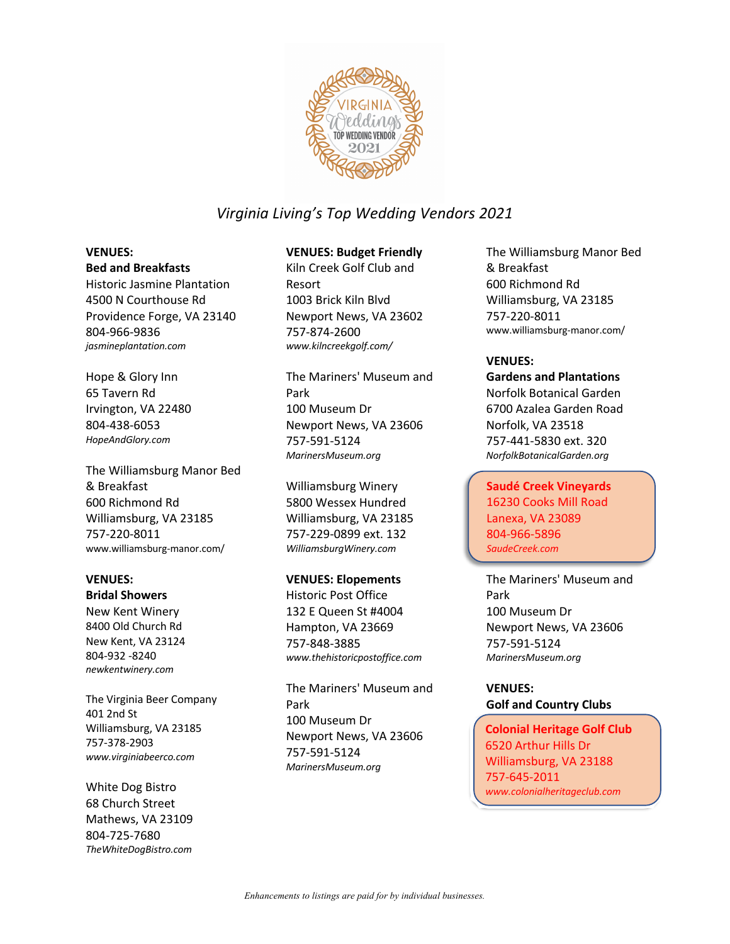

## **VENUES:**

#### **Bed and Breakfasts**

Historic Jasmine Plantation 4500 N Courthouse Rd Providence Forge, VA 23140 804-966-9836 *jasmineplantation.com*

Hope & Glory Inn 65 Tavern Rd Irvington, VA 22480 804-438-6053 *HopeAndGlory.com*

The Williamsburg Manor Bed & Breakfast 600 Richmond Rd Williamsburg, VA 23185 757-220-8011 www.williamsburg-manor.com/

#### **VENUES: Bridal Showers**

New Kent Winery 8400 Old Church Rd New Kent, VA 23124 804-932 -8240 *newkentwinery.com*

The Virginia Beer Company 401 2nd St Williamsburg, VA 23185 757-378-2903 *www.virginiabeerco.com*

White Dog Bistro 68 Church Street Mathews, VA 23109 804-725-7680 *TheWhiteDogBistro.com*

## **VENUES: Budget Friendly**

Kiln Creek Golf Club and Resort 1003 Brick Kiln Blvd Newport News, VA 23602 757-874-2600 *www.kilncreekgolf.com/*

The Mariners' Museum and Park 100 Museum Dr Newport News, VA 23606 757-591-5124 *MarinersMuseum.org*

Williamsburg Winery 5800 Wessex Hundred Williamsburg, VA 23185 757-229-0899 ext. 132 *WilliamsburgWinery.com*

#### **VENUES: Elopements**

Historic Post Office 132 E Queen St #4004 Hampton, VA 23669 757-848-3885 *www.thehistoricpostoffice.com*

The Mariners' Museum and Park 100 Museum Dr Newport News, VA 23606 757-591-5124 *MarinersMuseum.org*

The Williamsburg Manor Bed & Breakfast 600 Richmond Rd Williamsburg, VA 23185 757-220-8011 www.williamsburg-manor.com/

## **VENUES:**

**Gardens and Plantations** Norfolk Botanical Garden 6700 Azalea Garden Road Norfolk, VA 23518 757-441-5830 ext. 320 *NorfolkBotanicalGarden.org*

Saudé Creek Vineyards **Saudé Creek Vineyards** 16230 Cooks Mill Road Lanexa, VA 23089 16230 Cooks Lanexa, VA 23089 804-966-5896 *SaudeCreek.com*

The Mariners' Museum and Park 100 Museum Dr Newport News, VA 23606 757-591-5124 *MarinersMuseum.org*

**VENUES: Golf and Country Clubs**

Colonial Heritage Golf Club Colonial Heritage Golf Club WILLIAMS DR<br>Williamsburg, VA 23488 Williamsburg, VA 23188 *www.colonialheritageclub.com www.colonialheritageclub.com* 6520 Arthur Hills Dr 757-645-2011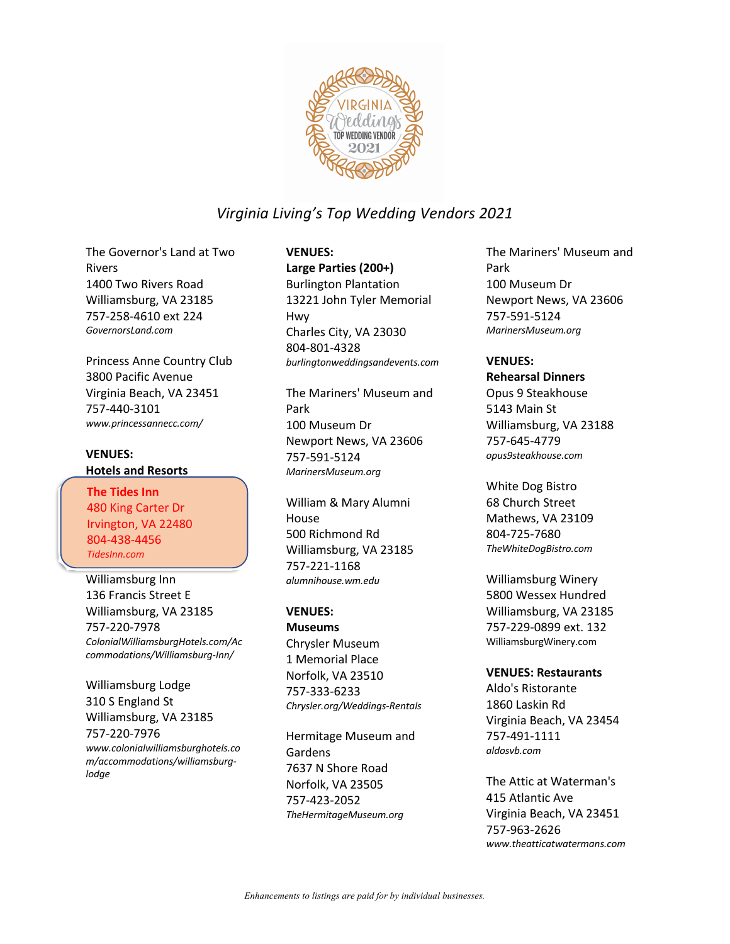

The Governor's Land at Two Rivers 1400 Two Rivers Road Williamsburg, VA 23185 757-258-4610 ext 224 *GovernorsLand.com*

Princess Anne Country Club 3800 Pacific Avenue Virginia Beach, VA 23451 757-440-3101 *www.princessannecc.com/*

## **VENUES: Hotels and Resorts**

The Tides Inn **The Tides Inn** 480 King Carter Dr 480 King Carter Dr Irvington, VA 22480 Irvington, VA 22480 804-438-4456 804-438-4456 *TidesInn.com TidesInn.com*

Williamsburg Inn 136 Francis Street E Williamsburg, VA 23185 757-220-7978 *ColonialWilliamsburgHotels.com/Ac commodations/Williamsburg-Inn/*

Williamsburg Lodge 310 S England St Williamsburg, VA 23185 757-220-7976 *www.colonialwilliamsburghotels.co m/accommodations/williamsburglodge*

## **VENUES:**

**Large Parties (200+)** Burlington Plantation 13221 John Tyler Memorial Hwy Charles City, VA 23030 804-801-4328 *burlingtonweddingsandevents.com*

The Mariners' Museum and Park 100 Museum Dr Newport News, VA 23606 757-591-5124 *MarinersMuseum.org*

William & Mary Alumni House 500 Richmond Rd Williamsburg, VA 23185 757-221-1168 *alumnihouse.wm.edu*

#### **VENUES:**

**Museums** Chrysler Museum 1 Memorial Place Norfolk, VA 23510 757-333-6233 *Chrysler.org/Weddings-Rentals*

Hermitage Museum and Gardens 7637 N Shore Road Norfolk, VA 23505 757-423-2052 *TheHermitageMuseum.org*

The Mariners' Museum and Park 100 Museum Dr Newport News, VA 23606 757-591-5124 *MarinersMuseum.org*

#### **VENUES:**

**Rehearsal Dinners** Opus 9 Steakhouse 5143 Main St Williamsburg, VA 23188 757-645-4779 *opus9steakhouse.com*

White Dog Bistro 68 Church Street Mathews, VA 23109 804-725-7680 *TheWhiteDogBistro.com*

Williamsburg Winery 5800 Wessex Hundred Williamsburg, VA 23185 757-229-0899 ext. 132 WilliamsburgWinery.com

#### **VENUES: Restaurants**

Aldo's Ristorante 1860 Laskin Rd Virginia Beach, VA 23454 757-491-1111 *aldosvb.com*

The Attic at Waterman's 415 Atlantic Ave Virginia Beach, VA 23451 757-963-2626 *www.theatticatwatermans.com*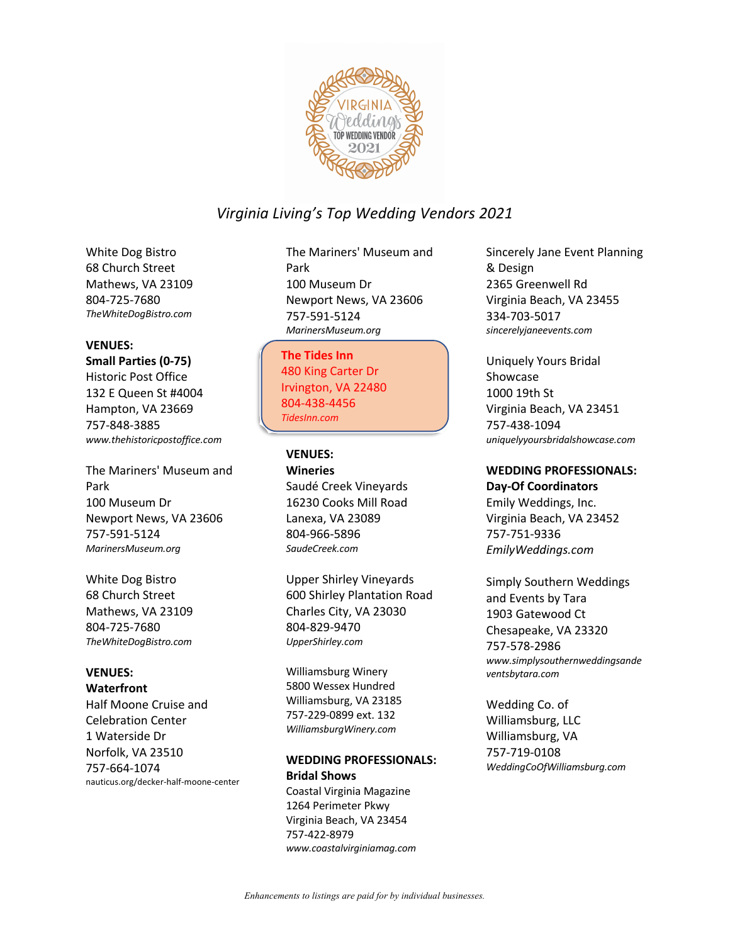

White Dog Bistro 68 Church Street Mathews, VA 23109 804-725-7680 *TheWhiteDogBistro.com*

#### **VENUES:**

**Small Parties (0-75)** Historic Post Office 132 E Queen St #4004 Hampton, VA 23669 757-848-3885 *www.thehistoricpostoffice.com*

The Mariners' Museum and Park 100 Museum Dr Newport News, VA 23606 757-591-5124 *MarinersMuseum.org*

White Dog Bistro 68 Church Street Mathews, VA 23109 804-725-7680 *TheWhiteDogBistro.com*

### **VENUES:**

**Waterfront** Half Moone Cruise and Celebration Center 1 Waterside Dr Norfolk, VA 23510 757-664-1074 nauticus.org/decker-half-moone-center The Mariners' Museum and Park 100 Museum Dr Newport News, VA 23606 757-591-5124 *MarinersMuseum.org*

The Tides Inn **The Tides Inn** 480 King Carter Dr 480 King Carter Dr Irvington, VA 22480 Irvington, VA 22480 804-438-4456 804-438-4456 *TidesInn.com TidesInn.com*

### **VENUES:**

**Wineries** Saudé Creek Vineyards 16230 Cooks Mill Road Lanexa, VA 23089 804-966-5896 *SaudeCreek.com*

Upper Shirley Vineyards 600 Shirley Plantation Road Charles City, VA 23030 804-829-9470 *UpperShirley.com*

Williamsburg Winery 5800 Wessex Hundred Williamsburg, VA 23185 757-229-0899 ext. 132 *WilliamsburgWinery.com*

### **WEDDING PROFESSIONALS: Bridal Shows**

Coastal Virginia Magazine 1264 Perimeter Pkwy Virginia Beach, VA 23454 757-422-8979 *www.coastalvirginiamag.com* Sincerely Jane Event Planning & Design 2365 Greenwell Rd Virginia Beach, VA 23455 334-703-5017 *sincerelyjaneevents.com*

Uniquely Yours Bridal Showcase 1000 19th St Virginia Beach, VA 23451 757-438-1094 *uniquelyyoursbridalshowcase.com*

#### **WEDDING PROFESSIONALS:**

**Day-Of Coordinators** Emily Weddings, Inc. Virginia Beach, VA 23452 757-751-9336 *EmilyWeddings.com*

Simply Southern Weddings and Events by Tara 1903 Gatewood Ct Chesapeake, VA 23320 757-578-2986 *www.simplysouthernweddingsande ventsbytara.com*

Wedding Co. of Williamsburg, LLC Williamsburg, VA 757-719-0108 *WeddingCoOfWilliamsburg.com*